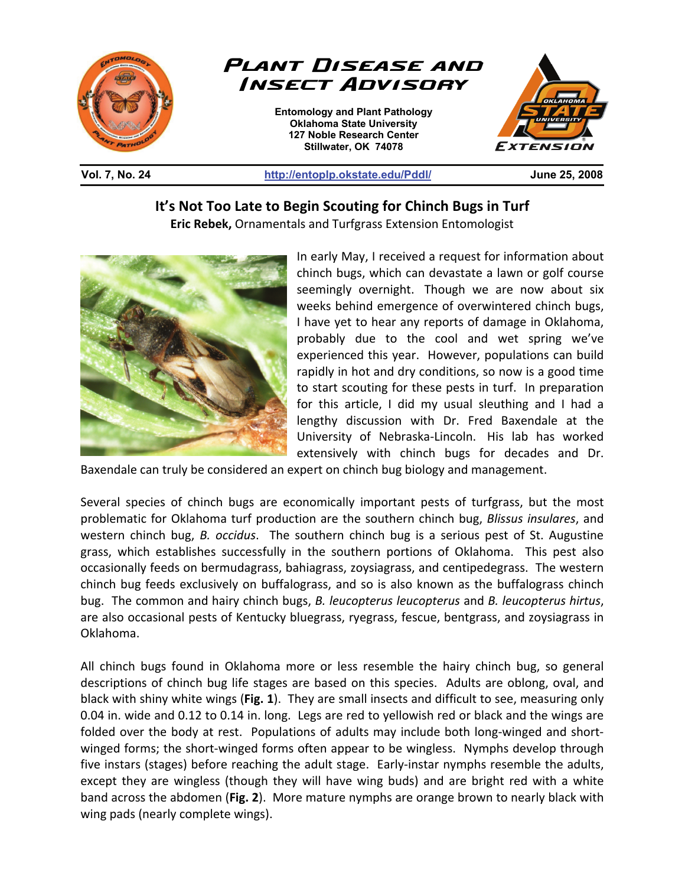

## **Vol. 7, No. 24 http://entoplp.okstate.edu/Pddl/ June 25, 2008**

## **It's Not Too Late to Begin Scouting for Chinch Bugs in Turf**

**Eric Rebek,** Ornamentals and Turfgrass Extension Entomologist



In early May, I received a request for information about chinch bugs, which can devastate a lawn or golf course seemingly overnight. Though we are now about six weeks behind emergence of overwintered chinch bugs, I have yet to hear any reports of damage in Oklahoma, probably due to the cool and wet spring we've experienced this year. However, populations can build rapidly in hot and dry conditions, so now is a good time to start scouting for these pests in turf. In preparation for this article, I did my usual sleuthing and I had a lengthy discussion with Dr. Fred Baxendale at the University of Nebraska-Lincoln. His lab has worked extensively with chinch bugs for decades and Dr.

Baxendale can truly be considered an expert on chinch bug biology and management.

Several species of chinch bugs are economically important pests of turfgrass, but the most problematic for Oklahoma turf production are the southern chinch bug, *Blissus insulares*, and western chinch bug, *B. occidus*. The southern chinch bug is a serious pest of St. Augustine grass, which establishes successfully in the southern portions of Oklahoma. This pest also occasionally feeds on bermudagrass, bahiagrass, zoysiagrass, and centipedegrass. The western chinch bug feeds exclusively on buffalograss, and so is also known as the buffalograss chinch bug. The common and hairy chinch bugs, *B. leucopterus leucopterus* and *B. leucopterus hirtus*, are also occasional pests of Kentucky bluegrass, ryegrass, fescue, bentgrass, and zoysiagrass in Oklahoma.

All chinch bugs found in Oklahoma more or less resemble the hairy chinch bug, so general descriptions of chinch bug life stages are based on this species. Adults are oblong, oval, and black with shiny white wings (**Fig. 1**). They are small insects and difficult to see, measuring only 0.04 in. wide and 0.12 to 0.14 in. long. Legs are red to yellowish red or black and the wings are folded over the body at rest. Populations of adults may include both long-winged and shortwinged forms; the short-winged forms often appear to be wingless. Nymphs develop through five instars (stages) before reaching the adult stage. Early-instar nymphs resemble the adults, except they are wingless (though they will have wing buds) and are bright red with a white band across the abdomen (**Fig. 2**). More mature nymphs are orange brown to nearly black with wing pads (nearly complete wings).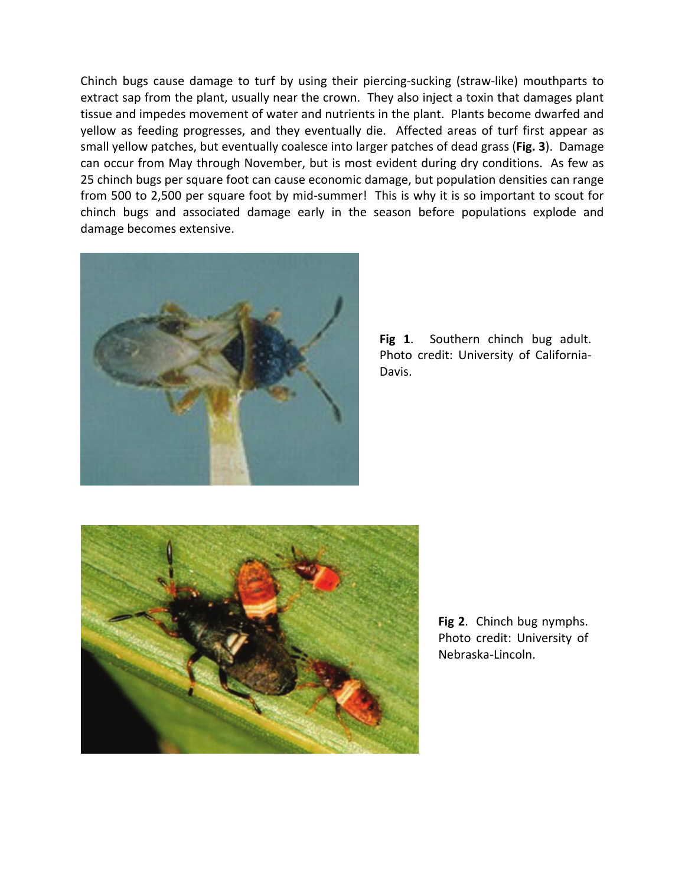Chinch bugs cause damage to turf by using their piercing-sucking (straw-like) mouthparts to extract sap from the plant, usually near the crown. They also inject a toxin that damages plant tissue and impedes movement of water and nutrients in the plant. Plants become dwarfed and yellow as feeding progresses, and they eventually die. Affected areas of turf first appear as small yellow patches, but eventually coalesce into larger patches of dead grass (**Fig. 3**). Damage can occur from May through November, but is most evident during dry conditions. As few as 25 chinch bugs per square foot can cause economic damage, but population densities can range from 500 to 2,500 per square foot by mid-summer! This is why it is so important to scout for chinch bugs and associated damage early in the season before populations explode and damage becomes extensive.



**Fig 1**. Southern chinch bug adult. Photo credit: University of California-Davis.



**Fig 2**. Chinch bug nymphs. Photo credit: University of Nebraska-Lincoln.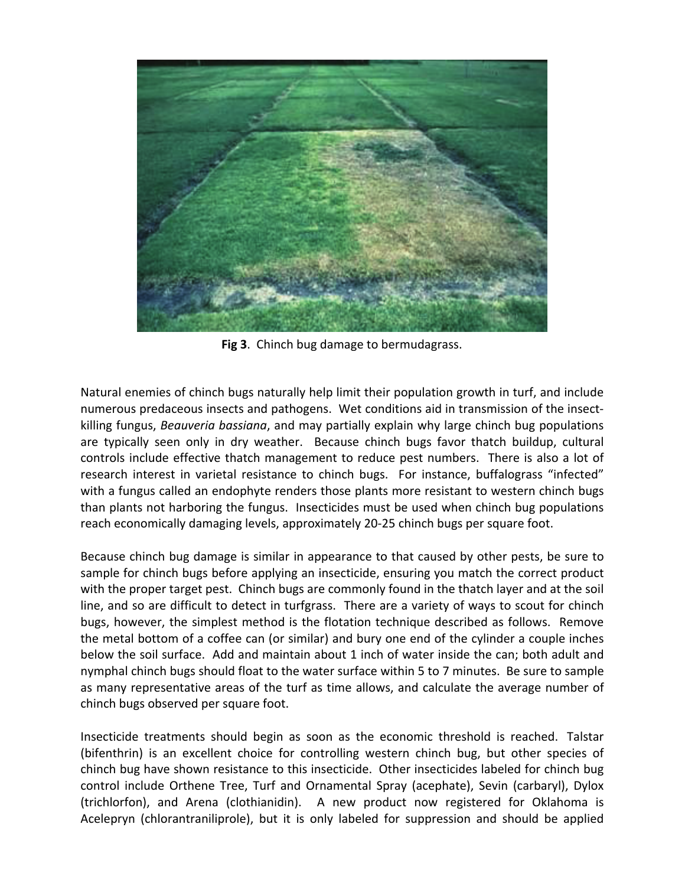

**Fig 3**. Chinch bug damage to bermudagrass.

Natural enemies of chinch bugs naturally help limit their population growth in turf, and include numerous predaceous insects and pathogens. Wet conditions aid in transmission of the insectkilling fungus, *Beauveria bassiana*, and may partially explain why large chinch bug populations are typically seen only in dry weather. Because chinch bugs favor thatch buildup, cultural controls include effective thatch management to reduce pest numbers. There is also a lot of research interest in varietal resistance to chinch bugs. For instance, buffalograss "infected" with a fungus called an endophyte renders those plants more resistant to western chinch bugs than plants not harboring the fungus. Insecticides must be used when chinch bug populations reach economically damaging levels, approximately 20-25 chinch bugs per square foot.

Because chinch bug damage is similar in appearance to that caused by other pests, be sure to sample for chinch bugs before applying an insecticide, ensuring you match the correct product with the proper target pest. Chinch bugs are commonly found in the thatch layer and at the soil line, and so are difficult to detect in turfgrass. There are a variety of ways to scout for chinch bugs, however, the simplest method is the flotation technique described as follows. Remove the metal bottom of a coffee can (or similar) and bury one end of the cylinder a couple inches below the soil surface. Add and maintain about 1 inch of water inside the can; both adult and nymphal chinch bugs should float to the water surface within 5 to 7 minutes. Be sure to sample as many representative areas of the turf as time allows, and calculate the average number of chinch bugs observed per square foot.

Insecticide treatments should begin as soon as the economic threshold is reached. Talstar (bifenthrin) is an excellent choice for controlling western chinch bug, but other species of chinch bug have shown resistance to this insecticide. Other insecticides labeled for chinch bug control include Orthene Tree, Turf and Ornamental Spray (acephate), Sevin (carbaryl), Dylox (trichlorfon), and Arena (clothianidin). A new product now registered for Oklahoma is Acelepryn (chlorantraniliprole), but it is only labeled for suppression and should be applied